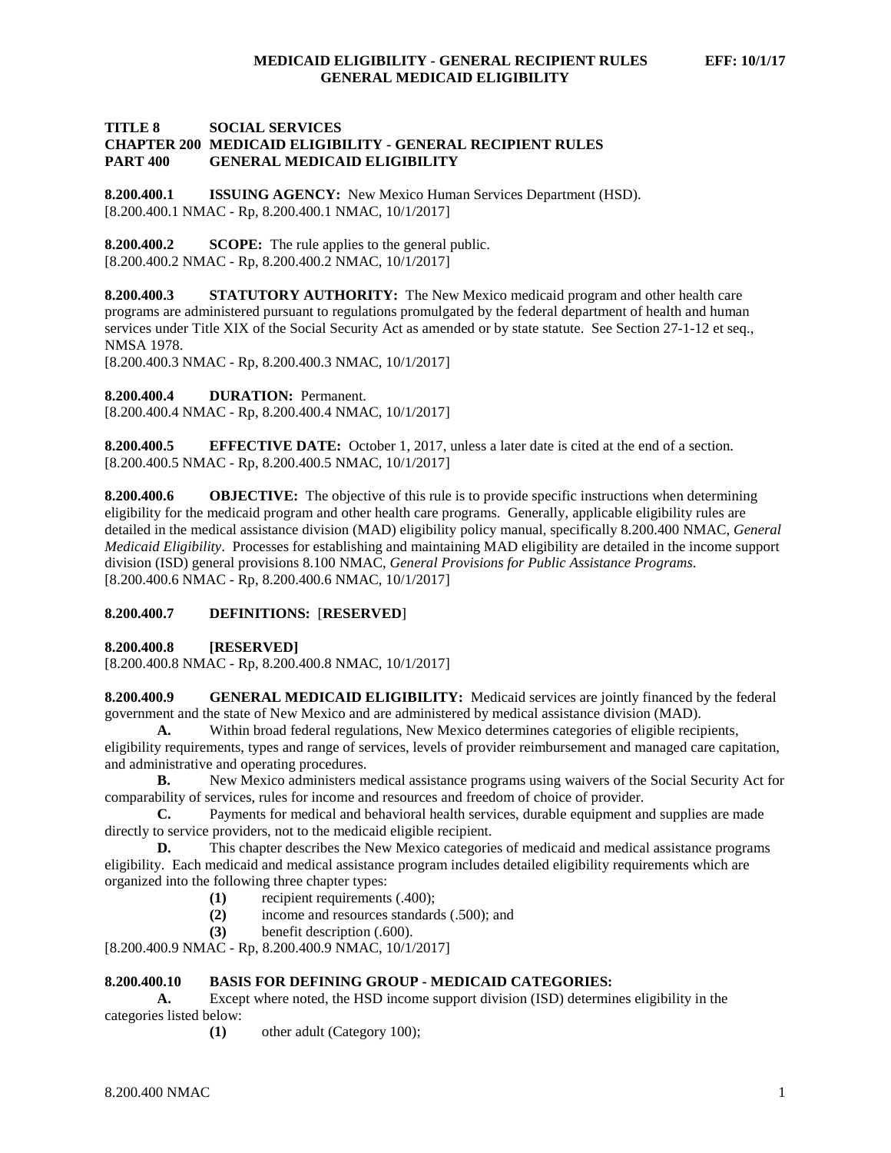## **TITLE 8 SOCIAL SERVICES CHAPTER 200 MEDICAID ELIGIBILITY - GENERAL RECIPIENT RULES PART 400 GENERAL MEDICAID ELIGIBILITY**

**8.200.400.1 ISSUING AGENCY:** New Mexico Human Services Department (HSD). [8.200.400.1 NMAC - Rp, 8.200.400.1 NMAC, 10/1/2017]

**8.200.400.2 SCOPE:** The rule applies to the general public. [8.200.400.2 NMAC - Rp, 8.200.400.2 NMAC, 10/1/2017]

**8.200.400.3 STATUTORY AUTHORITY:** The New Mexico medicaid program and other health care programs are administered pursuant to regulations promulgated by the federal department of health and human services under Title XIX of the Social Security Act as amended or by state statute. See Section 27-1-12 et seq., NMSA 1978.

[8.200.400.3 NMAC - Rp, 8.200.400.3 NMAC, 10/1/2017]

**8.200.400.4 DURATION:** Permanent.

[8.200.400.4 NMAC - Rp, 8.200.400.4 NMAC, 10/1/2017]

**8.200.400.5 EFFECTIVE DATE:** October 1, 2017, unless a later date is cited at the end of a section. [8.200.400.5 NMAC - Rp, 8.200.400.5 NMAC, 10/1/2017]

**8.200.400.6 OBJECTIVE:** The objective of this rule is to provide specific instructions when determining eligibility for the medicaid program and other health care programs. Generally, applicable eligibility rules are detailed in the medical assistance division (MAD) eligibility policy manual, specifically 8.200.400 NMAC, *General Medicaid Eligibility*. Processes for establishing and maintaining MAD eligibility are detailed in the income support division (ISD) general provisions 8.100 NMAC, *General Provisions for Public Assistance Programs*. [8.200.400.6 NMAC - Rp, 8.200.400.6 NMAC, 10/1/2017]

### **8.200.400.7 DEFINITIONS:** [**RESERVED**]

**8.200.400.8 [RESERVED]**

[8.200.400.8 NMAC - Rp, 8.200.400.8 NMAC, 10/1/2017]

**8.200.400.9 GENERAL MEDICAID ELIGIBILITY:** Medicaid services are jointly financed by the federal government and the state of New Mexico and are administered by medical assistance division (MAD).

**A.** Within broad federal regulations, New Mexico determines categories of eligible recipients, eligibility requirements, types and range of services, levels of provider reimbursement and managed care capitation, and administrative and operating procedures.

**B.** New Mexico administers medical assistance programs using waivers of the Social Security Act for comparability of services, rules for income and resources and freedom of choice of provider.

**C.** Payments for medical and behavioral health services, durable equipment and supplies are made directly to service providers, not to the medicaid eligible recipient.

**D.** This chapter describes the New Mexico categories of medicaid and medical assistance programs eligibility. Each medicaid and medical assistance program includes detailed eligibility requirements which are organized into the following three chapter types:

- **(1)** recipient requirements (.400);
- **(2)** income and resources standards (.500); and
- **(3)** benefit description (.600).

[8.200.400.9 NMAC - Rp, 8.200.400.9 NMAC, 10/1/2017]

## **8.200.400.10 BASIS FOR DEFINING GROUP - MEDICAID CATEGORIES:**

**A.** Except where noted, the HSD income support division (ISD) determines eligibility in the categories listed below:

**(1)** other adult (Category 100);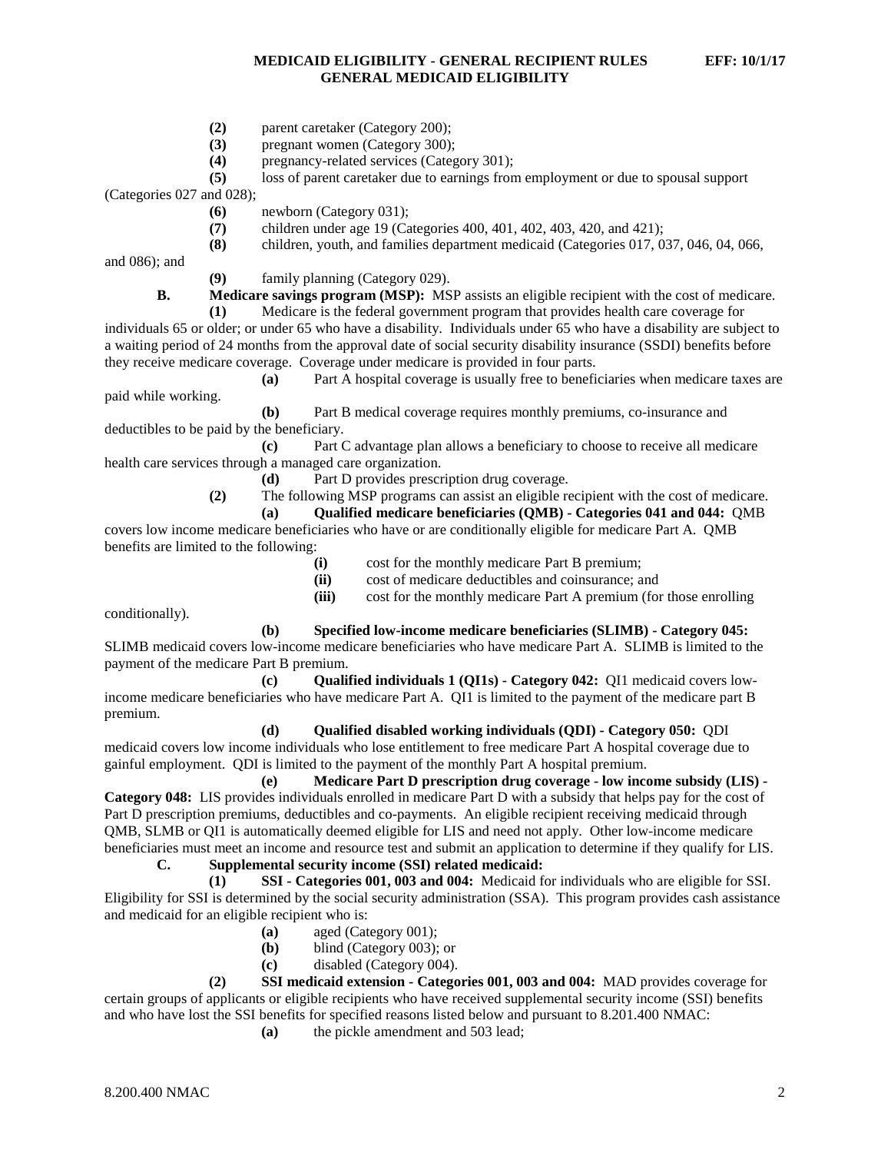- (2) parent caretaker (Category 200);<br>(3) pregnant women (Category 300);
- pregnant women (Category 300);
- **(4)** pregnancy-related services (Category 301);

```
(5) loss of parent caretaker due to earnings from employment or due to spousal support
```
(Categories 027 and 028);

- **(6)** newborn (Category 031);
- **(7)** children under age 19 (Categories 400, 401, 402, 403, 420, and 421);
- **(8)** children, youth, and families department medicaid (Categories 017, 037, 046, 04, 066,

and 086); and

paid while working.

**(9)** family planning (Category 029).

**B. Medicare savings program (MSP):** MSP assists an eligible recipient with the cost of medicare.

**(1)** Medicare is the federal government program that provides health care coverage for individuals 65 or older; or under 65 who have a disability. Individuals under 65 who have a disability are subject to a waiting period of 24 months from the approval date of social security disability insurance (SSDI) benefits before they receive medicare coverage. Coverage under medicare is provided in four parts.<br>(a) Part A hospital coverage is usually free to benefi

Part A hospital coverage is usually free to beneficiaries when medicare taxes are

**(b)** Part B medical coverage requires monthly premiums, co-insurance and deductibles to be paid by the beneficiary.

**(c)** Part C advantage plan allows a beneficiary to choose to receive all medicare health care services through a managed care organization.

**(d)** Part D provides prescription drug coverage.

**(2)** The following MSP programs can assist an eligible recipient with the cost of medicare.

**(a) Qualified medicare beneficiaries (QMB) - Categories 041 and 044:** QMB

covers low income medicare beneficiaries who have or are conditionally eligible for medicare Part A. QMB benefits are limited to the following:

- **(i)** cost for the monthly medicare Part B premium;
- **(ii)** cost of medicare deductibles and coinsurance; and
- **(iii)** cost for the monthly medicare Part A premium (for those enrolling

conditionally).

**(b) Specified low-income medicare beneficiaries (SLIMB) - Category 045:**

SLIMB medicaid covers low-income medicare beneficiaries who have medicare Part A. SLIMB is limited to the payment of the medicare Part B premium.

**(c) Qualified individuals 1 (QI1s) - Category 042:** QI1 medicaid covers lowincome medicare beneficiaries who have medicare Part A. QI1 is limited to the payment of the medicare part B premium.

### **(d) Qualified disabled working individuals (QDI) - Category 050:** QDI

medicaid covers low income individuals who lose entitlement to free medicare Part A hospital coverage due to gainful employment. QDI is limited to the payment of the monthly Part A hospital premium.

**(e) Medicare Part D prescription drug coverage - low income subsidy (LIS) - Category 048:** LIS provides individuals enrolled in medicare Part D with a subsidy that helps pay for the cost of Part D prescription premiums, deductibles and co-payments. An eligible recipient receiving medicaid through QMB, SLMB or QI1 is automatically deemed eligible for LIS and need not apply. Other low-income medicare beneficiaries must meet an income and resource test and submit an application to determine if they qualify for LIS.

# **C. Supplemental security income (SSI) related medicaid:**

**(1) SSI - Categories 001, 003 and 004:** Medicaid for individuals who are eligible for SSI. Eligibility for SSI is determined by the social security administration (SSA). This program provides cash assistance and medicaid for an eligible recipient who is:

- **(a)** aged (Category 001);
- **(b)** blind (Category 003); or
- **(c)** disabled (Category 004).

**(2) SSI medicaid extension - Categories 001, 003 and 004:** MAD provides coverage for certain groups of applicants or eligible recipients who have received supplemental security income (SSI) benefits and who have lost the SSI benefits for specified reasons listed below and pursuant to 8.201.400 NMAC:

**(a)** the pickle amendment and 503 lead;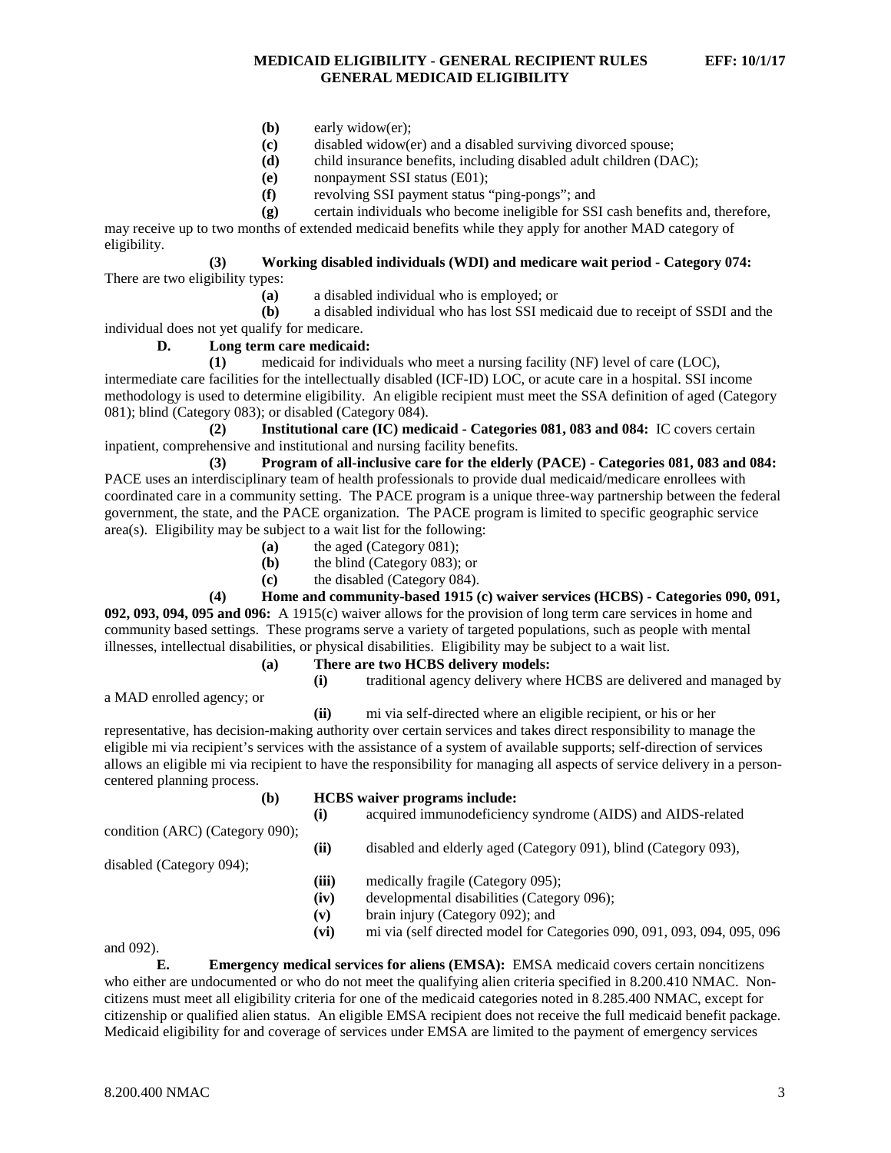## **MEDICAID ELIGIBILITY - GENERAL RECIPIENT RULES EFF: 10/1/17 GENERAL MEDICAID ELIGIBILITY**

- **(b)** early widow(er);
- **(c)** disabled widow(er) and a disabled surviving divorced spouse;
- **(d)** child insurance benefits, including disabled adult children (DAC);
- **(e)** nonpayment SSI status (E01);
- **(f)** revolving SSI payment status "ping-pongs"; and
- **(g)** certain individuals who become ineligible for SSI cash benefits and, therefore,

may receive up to two months of extended medicaid benefits while they apply for another MAD category of eligibility.

# **(3) Working disabled individuals (WDI) and medicare wait period - Category 074:**

There are two eligibility types:

**(a)** a disabled individual who is employed; or

**(b)** a disabled individual who has lost SSI medicaid due to receipt of SSDI and the individual does not yet qualify for medicare.

## **D. Long term care medicaid:**

**(1)** medicaid for individuals who meet a nursing facility (NF) level of care (LOC), intermediate care facilities for the intellectually disabled (ICF-ID) LOC, or acute care in a hospital. SSI income methodology is used to determine eligibility. An eligible recipient must meet the SSA definition of aged (Category 081); blind (Category 083); or disabled (Category 084).

**(2) Institutional care (IC) medicaid - Categories 081, 083 and 084:** IC covers certain inpatient, comprehensive and institutional and nursing facility benefits.

**(3) Program of all-inclusive care for the elderly (PACE) - Categories 081, 083 and 084:** PACE uses an interdisciplinary team of health professionals to provide dual medicaid/medicare enrollees with coordinated care in a community setting. The PACE program is a unique three-way partnership between the federal government, the state, and the PACE organization. The PACE program is limited to specific geographic service area(s). Eligibility may be subject to a wait list for the following:

- **(a)** the aged (Category 081);
- **(b)** the blind (Category 083); or
- **(c)** the disabled (Category 084).

**(4) Home and community-based 1915 (c) waiver services (HCBS) - Categories 090, 091, 092, 093, 094, 095 and 096:** A 1915(c) waiver allows for the provision of long term care services in home and community based settings. These programs serve a variety of targeted populations, such as people with mental illnesses, intellectual disabilities, or physical disabilities. Eligibility may be subject to a wait list.

**(a) There are two HCBS delivery models:**

**(i)** traditional agency delivery where HCBS are delivered and managed by

**(ii)** mi via self-directed where an eligible recipient, or his or her representative, has decision-making authority over certain services and takes direct responsibility to manage the eligible mi via recipient's services with the assistance of a system of available supports; self-direction of services allows an eligible mi via recipient to have the responsibility for managing all aspects of service delivery in a personcentered planning process.

| (b)                             | <b>HCBS</b> waiver programs include: |                                                                         |
|---------------------------------|--------------------------------------|-------------------------------------------------------------------------|
|                                 | (i)                                  | acquired immunodeficiency syndrome (AIDS) and AIDS-related              |
| condition (ARC) (Category 090); |                                      |                                                                         |
|                                 | (ii)                                 | disabled and elderly aged (Category 091), blind (Category 093),         |
| disabled (Category 094);        |                                      |                                                                         |
|                                 | (iii)                                | medically fragile (Category 095);                                       |
|                                 | (iv)                                 | developmental disabilities (Category 096);                              |
|                                 | (v)                                  | brain injury (Category 092); and                                        |
|                                 | (vi)                                 | mi via (self directed model for Categories 090, 091, 093, 094, 095, 096 |

and 092).

**E. Emergency medical services for aliens (EMSA):** EMSA medicaid covers certain noncitizens who either are undocumented or who do not meet the qualifying alien criteria specified in 8.200.410 NMAC. Noncitizens must meet all eligibility criteria for one of the medicaid categories noted in 8.285.400 NMAC, except for citizenship or qualified alien status. An eligible EMSA recipient does not receive the full medicaid benefit package. Medicaid eligibility for and coverage of services under EMSA are limited to the payment of emergency services

a MAD enrolled agency; or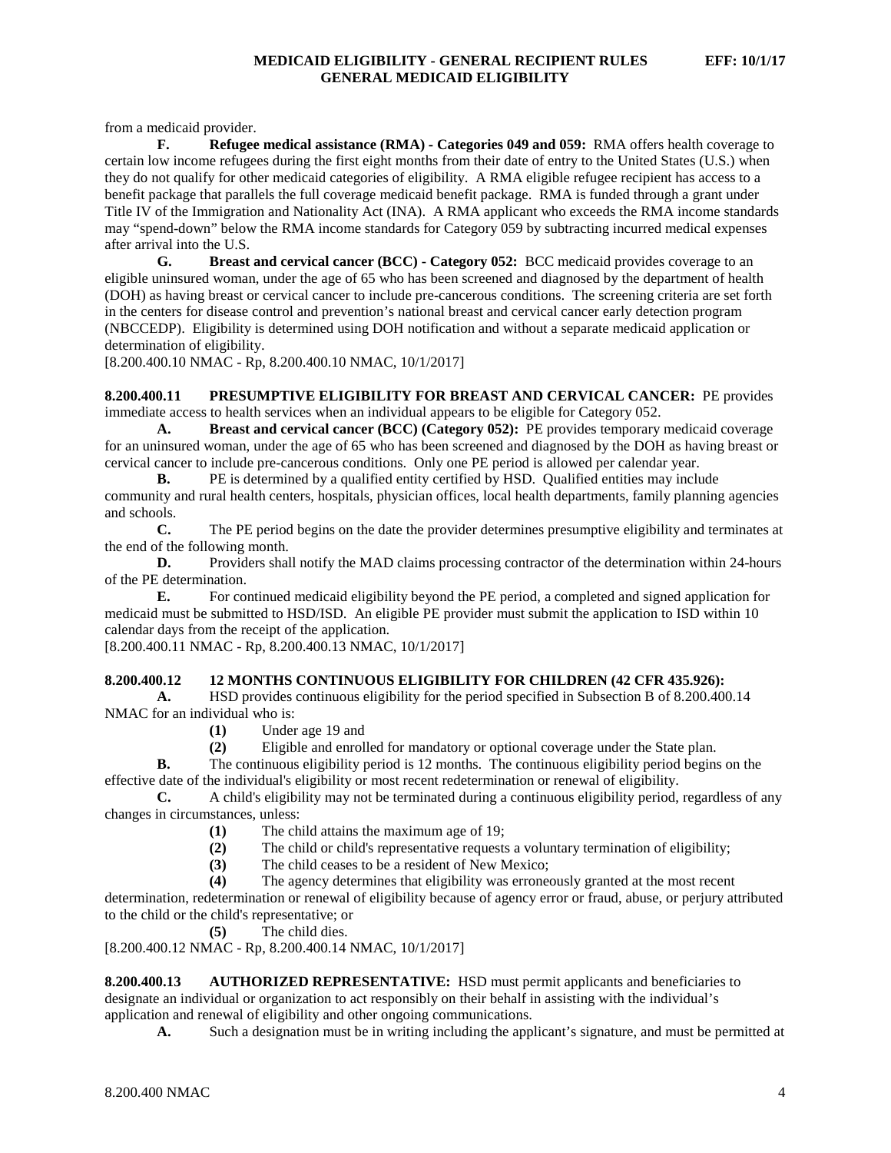from a medicaid provider.

**F. Refugee medical assistance (RMA) - Categories 049 and 059:** RMA offers health coverage to certain low income refugees during the first eight months from their date of entry to the United States (U.S.) when they do not qualify for other medicaid categories of eligibility. A RMA eligible refugee recipient has access to a benefit package that parallels the full coverage medicaid benefit package. RMA is funded through a grant under Title IV of the Immigration and Nationality Act (INA). A RMA applicant who exceeds the RMA income standards may "spend-down" below the RMA income standards for Category 059 by subtracting incurred medical expenses after arrival into the U.S.

**G. Breast and cervical cancer (BCC) - Category 052:** BCC medicaid provides coverage to an eligible uninsured woman, under the age of 65 who has been screened and diagnosed by the department of health (DOH) as having breast or cervical cancer to include pre-cancerous conditions. The screening criteria are set forth in the centers for disease control and prevention's national breast and cervical cancer early detection program (NBCCEDP). Eligibility is determined using DOH notification and without a separate medicaid application or determination of eligibility.

[8.200.400.10 NMAC - Rp, 8.200.400.10 NMAC, 10/1/2017]

**8.200.400.11 PRESUMPTIVE ELIGIBILITY FOR BREAST AND CERVICAL CANCER:** PE provides immediate access to health services when an individual appears to be eligible for Category 052.

**A. Breast and cervical cancer (BCC) (Category 052):** PE provides temporary medicaid coverage for an uninsured woman, under the age of 65 who has been screened and diagnosed by the DOH as having breast or cervical cancer to include pre-cancerous conditions. Only one PE period is allowed per calendar year.<br> **B.** PE is determined by a qualified entity certified by HSD. Oualified entities may inclu

PE is determined by a qualified entity certified by HSD. Qualified entities may include community and rural health centers, hospitals, physician offices, local health departments, family planning agencies and schools.<br> $C_{\bullet}$ 

**C.** The PE period begins on the date the provider determines presumptive eligibility and terminates at the end of the following month.

**D.** Providers shall notify the MAD claims processing contractor of the determination within 24-hours of the PE determination.

**E.** For continued medicaid eligibility beyond the PE period, a completed and signed application for medicaid must be submitted to HSD/ISD. An eligible PE provider must submit the application to ISD within 10 calendar days from the receipt of the application.

[8.200.400.11 NMAC - Rp, 8.200.400.13 NMAC, 10/1/2017]

# **8.200.400.12 12 MONTHS CONTINUOUS ELIGIBILITY FOR CHILDREN (42 CFR 435.926):**

**A.** HSD provides continuous eligibility for the period specified in Subsection B of 8.200.400.14 NMAC for an individual who is:

**(1)** Under age 19 and

**(2)** Eligible and enrolled for mandatory or optional coverage under the State plan.

**B.** The continuous eligibility period is 12 months. The continuous eligibility period begins on the effective date of the individual's eligibility or most recent redetermination or renewal of eligibility.

**C.** A child's eligibility may not be terminated during a continuous eligibility period, regardless of any changes in circumstances, unless:

- **(1)** The child attains the maximum age of 19;
- **(2)** The child or child's representative requests a voluntary termination of eligibility;
- (3) The child ceases to be a resident of New Mexico;<br>(4) The agency determines that eligibility was erroned
- The agency determines that eligibility was erroneously granted at the most recent

determination, redetermination or renewal of eligibility because of agency error or fraud, abuse, or perjury attributed to the child or the child's representative; or

**(5)** The child dies.

[8.200.400.12 NMAC - Rp, 8.200.400.14 NMAC, 10/1/2017]

**8.200.400.13 AUTHORIZED REPRESENTATIVE:** HSD must permit applicants and beneficiaries to designate an individual or organization to act responsibly on their behalf in assisting with the individual's application and renewal of eligibility and other ongoing communications.

**A.** Such a designation must be in writing including the applicant's signature, and must be permitted at